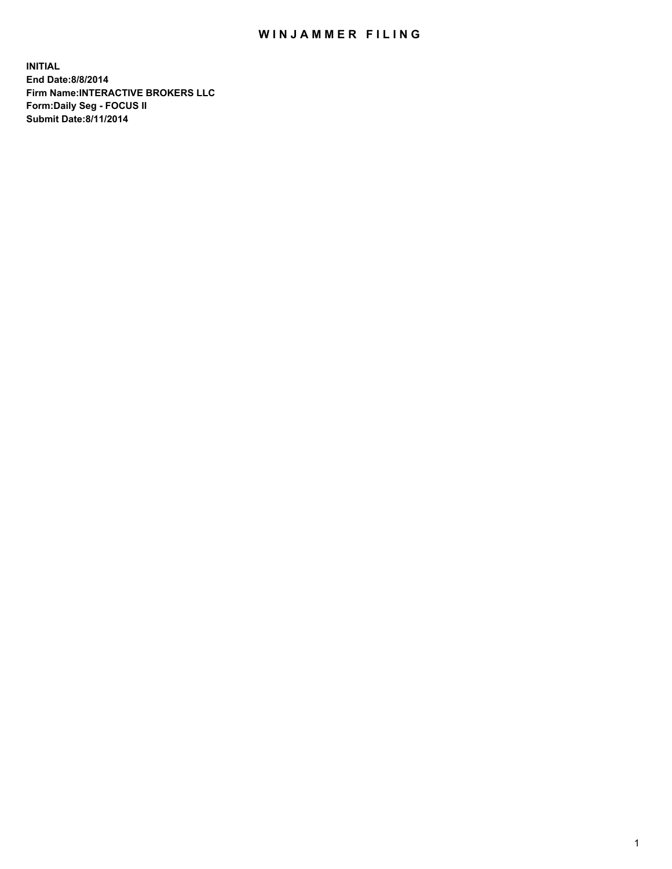## WIN JAMMER FILING

**INITIAL End Date:8/8/2014 Firm Name:INTERACTIVE BROKERS LLC Form:Daily Seg - FOCUS II Submit Date:8/11/2014**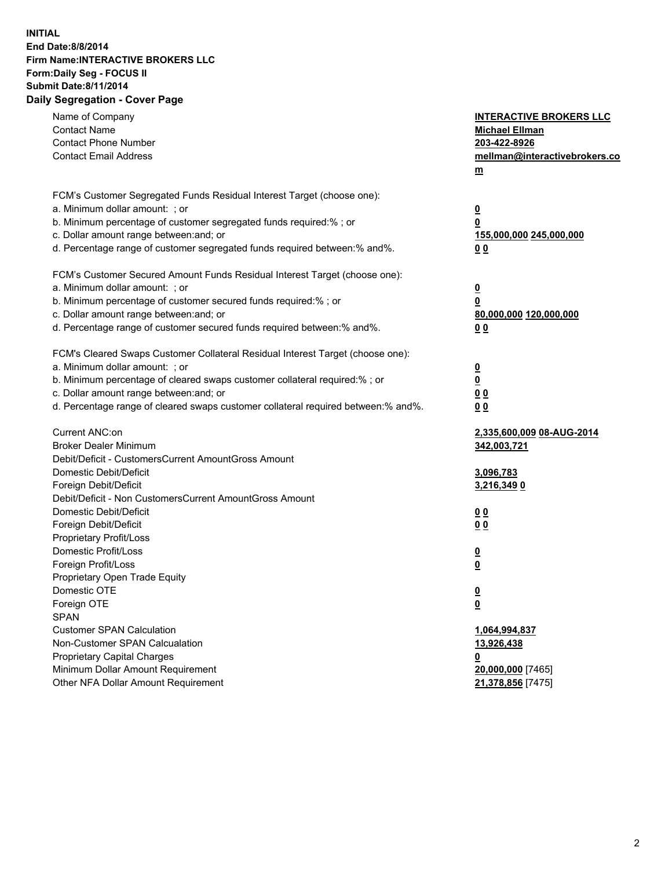## **INITIAL End Date:8/8/2014 Firm Name:INTERACTIVE BROKERS LLC Form:Daily Seg - FOCUS II Submit Date:8/11/2014 Daily Segregation - Cover Page**

| Name of Company                                                                   | <b>INTERACTIVE BROKERS LLC</b> |
|-----------------------------------------------------------------------------------|--------------------------------|
| <b>Contact Name</b>                                                               | <b>Michael Ellman</b>          |
| <b>Contact Phone Number</b>                                                       | 203-422-8926                   |
| <b>Contact Email Address</b>                                                      | mellman@interactivebrokers.co  |
|                                                                                   | m                              |
| FCM's Customer Segregated Funds Residual Interest Target (choose one):            |                                |
| a. Minimum dollar amount: ; or                                                    | $\overline{\mathbf{0}}$        |
| b. Minimum percentage of customer segregated funds required:% ; or                | 0                              |
| c. Dollar amount range between: and; or                                           | 155,000,000 245,000,000        |
| d. Percentage range of customer segregated funds required between:% and%.         | 0 <sub>0</sub>                 |
| FCM's Customer Secured Amount Funds Residual Interest Target (choose one):        |                                |
| a. Minimum dollar amount: ; or                                                    | $\overline{\mathbf{0}}$        |
| b. Minimum percentage of customer secured funds required:% ; or                   | 0                              |
| c. Dollar amount range between: and; or                                           | 80,000,000 120,000,000         |
| d. Percentage range of customer secured funds required between:% and%.            | 0 <sub>0</sub>                 |
| FCM's Cleared Swaps Customer Collateral Residual Interest Target (choose one):    |                                |
| a. Minimum dollar amount: ; or                                                    | $\overline{\mathbf{0}}$        |
| b. Minimum percentage of cleared swaps customer collateral required:% ; or        | $\overline{\mathbf{0}}$        |
| c. Dollar amount range between: and; or                                           | 0 <sub>0</sub>                 |
| d. Percentage range of cleared swaps customer collateral required between:% and%. | 0 <sub>0</sub>                 |
|                                                                                   |                                |
| Current ANC:on                                                                    | 2,335,600,009 08-AUG-2014      |
| <b>Broker Dealer Minimum</b>                                                      | 342,003,721                    |
| Debit/Deficit - CustomersCurrent AmountGross Amount                               |                                |
| Domestic Debit/Deficit                                                            | 3,096,783                      |
| Foreign Debit/Deficit                                                             | 3,216,349 0                    |
| Debit/Deficit - Non CustomersCurrent AmountGross Amount                           |                                |
| Domestic Debit/Deficit                                                            | 0 <sub>0</sub>                 |
| Foreign Debit/Deficit                                                             | 0 <sub>0</sub>                 |
| Proprietary Profit/Loss                                                           |                                |
| Domestic Profit/Loss                                                              | <u>0</u>                       |
| Foreign Profit/Loss                                                               | $\overline{\mathbf{0}}$        |
| Proprietary Open Trade Equity                                                     |                                |
| Domestic OTE                                                                      | <u>0</u>                       |
| Foreign OTE                                                                       | <u>0</u>                       |
| <b>SPAN</b>                                                                       |                                |
| <b>Customer SPAN Calculation</b>                                                  | 1,064,994,837                  |
| Non-Customer SPAN Calcualation                                                    | 13,926,438                     |
| Proprietary Capital Charges                                                       | <u>0</u>                       |
| Minimum Dollar Amount Requirement                                                 | 20,000,000 [7465]              |
| Other NFA Dollar Amount Requirement                                               | 21,378,856 [7475]              |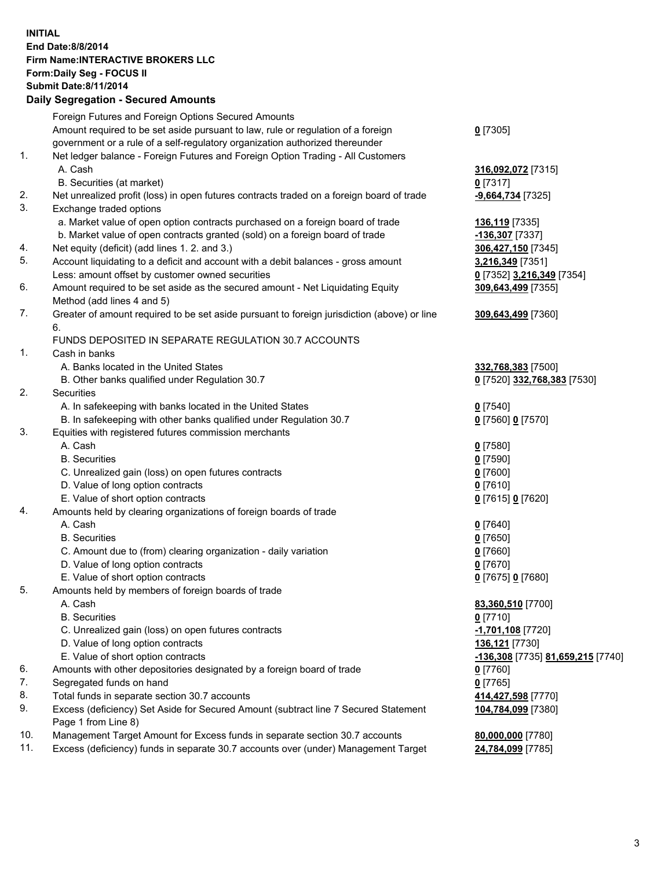## **INITIAL End Date:8/8/2014 Firm Name:INTERACTIVE BROKERS LLC Form:Daily Seg - FOCUS II Submit Date:8/11/2014 Daily Segregation - Secured Amounts**

|     | Foreign Futures and Foreign Options Secured Amounts                                         |                                   |
|-----|---------------------------------------------------------------------------------------------|-----------------------------------|
|     | Amount required to be set aside pursuant to law, rule or regulation of a foreign            | $0$ [7305]                        |
|     | government or a rule of a self-regulatory organization authorized thereunder                |                                   |
| 1.  | Net ledger balance - Foreign Futures and Foreign Option Trading - All Customers             |                                   |
|     | A. Cash                                                                                     | 316,092,072 [7315]                |
|     | B. Securities (at market)                                                                   | $0$ [7317]                        |
| 2.  | Net unrealized profit (loss) in open futures contracts traded on a foreign board of trade   | -9,664,734 [7325]                 |
| 3.  | Exchange traded options                                                                     |                                   |
|     | a. Market value of open option contracts purchased on a foreign board of trade              | 136,119 [7335]                    |
|     | b. Market value of open contracts granted (sold) on a foreign board of trade                | -136,307 [7337]                   |
| 4.  | Net equity (deficit) (add lines 1.2. and 3.)                                                | 306,427,150 [7345]                |
| 5.  | Account liquidating to a deficit and account with a debit balances - gross amount           | 3,216,349 [7351]                  |
|     | Less: amount offset by customer owned securities                                            | 0 [7352] 3,216,349 [7354]         |
| 6.  | Amount required to be set aside as the secured amount - Net Liquidating Equity              | 309,643,499 [7355]                |
|     | Method (add lines 4 and 5)                                                                  |                                   |
|     |                                                                                             |                                   |
| 7.  | Greater of amount required to be set aside pursuant to foreign jurisdiction (above) or line | 309,643,499 [7360]                |
|     | 6.                                                                                          |                                   |
|     | FUNDS DEPOSITED IN SEPARATE REGULATION 30.7 ACCOUNTS                                        |                                   |
| 1.  | Cash in banks                                                                               |                                   |
|     | A. Banks located in the United States                                                       | 332,768,383 [7500]                |
|     | B. Other banks qualified under Regulation 30.7                                              | 0 [7520] 332,768,383 [7530]       |
| 2.  | Securities                                                                                  |                                   |
|     | A. In safekeeping with banks located in the United States                                   | $0$ [7540]                        |
|     | B. In safekeeping with other banks qualified under Regulation 30.7                          | 0 [7560] 0 [7570]                 |
| 3.  | Equities with registered futures commission merchants                                       |                                   |
|     | A. Cash                                                                                     | $0$ [7580]                        |
|     | <b>B.</b> Securities                                                                        | $0$ [7590]                        |
|     | C. Unrealized gain (loss) on open futures contracts                                         | $0$ [7600]                        |
|     | D. Value of long option contracts                                                           | $0$ [7610]                        |
|     | E. Value of short option contracts                                                          | 0 [7615] 0 [7620]                 |
| 4.  | Amounts held by clearing organizations of foreign boards of trade                           |                                   |
|     | A. Cash                                                                                     | $0$ [7640]                        |
|     | <b>B.</b> Securities                                                                        | $0$ [7650]                        |
|     | C. Amount due to (from) clearing organization - daily variation                             | $0$ [7660]                        |
|     | D. Value of long option contracts                                                           | $0$ [7670]                        |
|     | E. Value of short option contracts                                                          | 0 [7675] 0 [7680]                 |
| 5.  | Amounts held by members of foreign boards of trade                                          |                                   |
|     | A. Cash                                                                                     | 83,360,510 [7700]                 |
|     | <b>B.</b> Securities                                                                        | $0$ [7710]                        |
|     | C. Unrealized gain (loss) on open futures contracts                                         | -1,701,108 [7720]                 |
|     | D. Value of long option contracts                                                           | 136,121 [7730]                    |
|     | E. Value of short option contracts                                                          | -136,308 [7735] 81,659,215 [7740] |
| 6.  | Amounts with other depositories designated by a foreign board of trade                      | $0$ [7760]                        |
| 7.  | Segregated funds on hand                                                                    | $0$ [7765]                        |
| 8.  | Total funds in separate section 30.7 accounts                                               | 414,427,598 [7770]                |
| 9.  | Excess (deficiency) Set Aside for Secured Amount (subtract line 7 Secured Statement         | 104,784,099 [7380]                |
|     | Page 1 from Line 8)                                                                         |                                   |
| 10. | Management Target Amount for Excess funds in separate section 30.7 accounts                 | 80,000,000 [7780]                 |
| 11. | Excess (deficiency) funds in separate 30.7 accounts over (under) Management Target          | 24,784,099 [7785]                 |
|     |                                                                                             |                                   |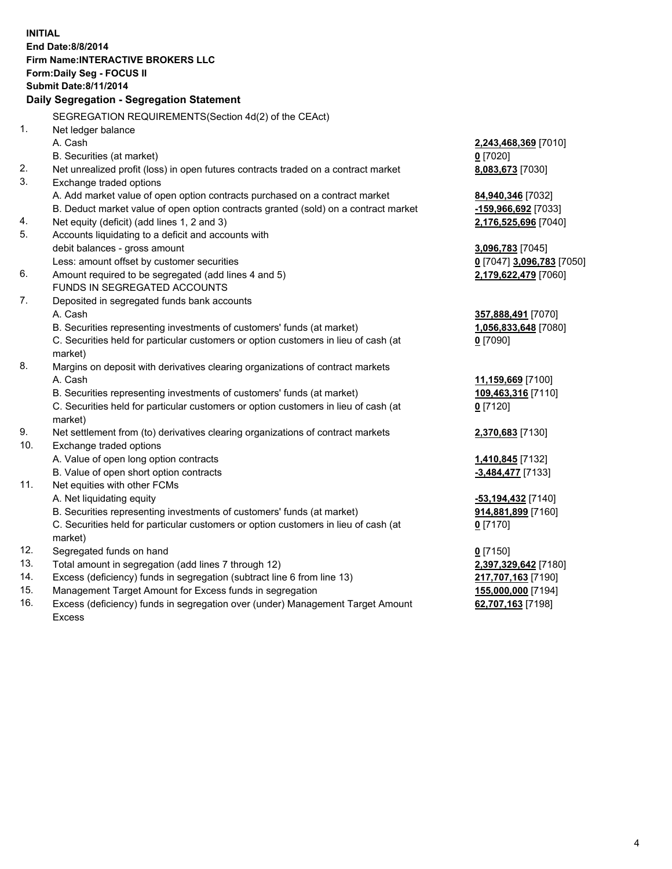**INITIAL End Date:8/8/2014 Firm Name:INTERACTIVE BROKERS LLC Form:Daily Seg - FOCUS II Submit Date:8/11/2014 Daily Segregation - Segregation Statement** SEGREGATION REQUIREMENTS(Section 4d(2) of the CEAct) 1. Net ledger balance A. Cash **2,243,468,369** [7010] B. Securities (at market) **0** [7020] 2. Net unrealized profit (loss) in open futures contracts traded on a contract market **8,083,673** [7030] 3. Exchange traded options A. Add market value of open option contracts purchased on a contract market **84,940,346** [7032] B. Deduct market value of open option contracts granted (sold) on a contract market **-159,966,692** [7033] 4. Net equity (deficit) (add lines 1, 2 and 3) **2,176,525,696** [7040] 5. Accounts liquidating to a deficit and accounts with debit balances - gross amount **3,096,783** [7045] Less: amount offset by customer securities **0** [7047] **3,096,783** [7050] 6. Amount required to be segregated (add lines 4 and 5) **2,179,622,479** [7060] FUNDS IN SEGREGATED ACCOUNTS 7. Deposited in segregated funds bank accounts A. Cash **357,888,491** [7070] B. Securities representing investments of customers' funds (at market) **1,056,833,648** [7080] C. Securities held for particular customers or option customers in lieu of cash (at market) **0** [7090] 8. Margins on deposit with derivatives clearing organizations of contract markets A. Cash **11,159,669** [7100] B. Securities representing investments of customers' funds (at market) **109,463,316** [7110] C. Securities held for particular customers or option customers in lieu of cash (at market) **0** [7120] 9. Net settlement from (to) derivatives clearing organizations of contract markets **2,370,683** [7130] 10. Exchange traded options A. Value of open long option contracts **1,410,845** [7132] B. Value of open short option contracts **-3,484,477** [7133] 11. Net equities with other FCMs A. Net liquidating equity **-53,194,432** [7140] B. Securities representing investments of customers' funds (at market) **914,881,899** [7160] C. Securities held for particular customers or option customers in lieu of cash (at market) **0** [7170] 12. Segregated funds on hand **0** [7150] 13. Total amount in segregation (add lines 7 through 12) **2,397,329,642** [7180] 14. Excess (deficiency) funds in segregation (subtract line 6 from line 13) **217,707,163** [7190] 15. Management Target Amount for Excess funds in segregation **155,000,000** [7194]

16. Excess (deficiency) funds in segregation over (under) Management Target Amount Excess

**62,707,163** [7198]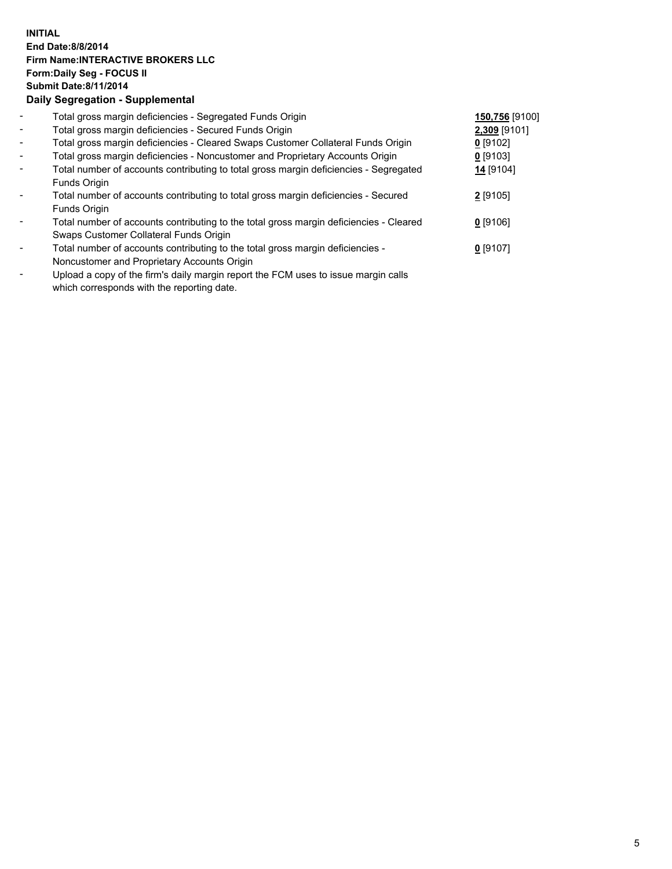## **INITIAL End Date:8/8/2014 Firm Name:INTERACTIVE BROKERS LLC Form:Daily Seg - FOCUS II Submit Date:8/11/2014 Daily Segregation - Supplemental**

| $\overline{\phantom{a}}$ | Total gross margin deficiencies - Segregated Funds Origin                              | 150,756 [9100] |  |
|--------------------------|----------------------------------------------------------------------------------------|----------------|--|
| $\blacksquare$           | Total gross margin deficiencies - Secured Funds Origin                                 | 2,309 [9101]   |  |
| $\blacksquare$           | Total gross margin deficiencies - Cleared Swaps Customer Collateral Funds Origin       | $0$ [9102]     |  |
| $\blacksquare$           | Total gross margin deficiencies - Noncustomer and Proprietary Accounts Origin          | 0 [9103]       |  |
| $\blacksquare$           | Total number of accounts contributing to total gross margin deficiencies - Segregated  | 14 [9104]      |  |
|                          | Funds Origin                                                                           |                |  |
|                          | Total number of accounts contributing to total gross margin deficiencies - Secured     | 2 [9105]       |  |
|                          | Funds Origin                                                                           |                |  |
|                          | Total number of accounts contributing to the total gross margin deficiencies - Cleared | $0$ [9106]     |  |
|                          | Swaps Customer Collateral Funds Origin                                                 |                |  |
|                          | Total number of accounts contributing to the total gross margin deficiencies -         | $0$ [9107]     |  |
|                          | Noncustomer and Proprietary Accounts Origin                                            |                |  |
|                          |                                                                                        |                |  |

- Upload a copy of the firm's daily margin report the FCM uses to issue margin calls which corresponds with the reporting date.